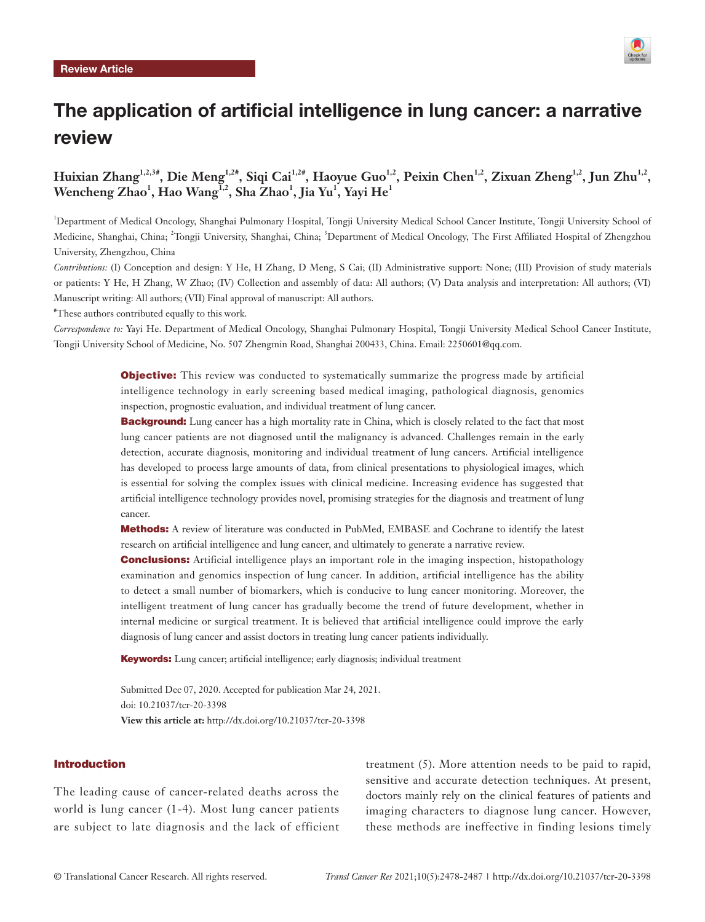

# The application of artificial intelligence in lung cancer: a narrative review

**Huixian Zhang1,2,3#, Die Meng1,2#, Siqi Cai1,2#, Haoyue Guo1,2, Peixin Chen1,2, Zixuan Zheng1,2, Jun Zhu1,2,**   $\mathbf{W}$ encheng Zhao $^1\!,\mathbf{H}$ ao  $\mathbf{W}\mathbf{a}$ ng $^{1,2}\!,\mathbf{S}$ ha Zhao $^1\!,\mathbf{J}$ ia Yu $^1\!,\mathbf{Y}\mathbf{a}\mathbf{y}\mathbf{i}$  He $^1$ 

1 Department of Medical Oncology, Shanghai Pulmonary Hospital, Tongji University Medical School Cancer Institute, Tongji University School of Medicine, Shanghai, China; <sup>2</sup>Tongji University, Shanghai, China; <sup>3</sup>Department of Medical Oncology, The First Affiliated Hospital of Zhengzhou University, Zhengzhou, China

*Contributions:* (I) Conception and design: Y He, H Zhang, D Meng, S Cai; (II) Administrative support: None; (III) Provision of study materials or patients: Y He, H Zhang, W Zhao; (IV) Collection and assembly of data: All authors; (V) Data analysis and interpretation: All authors; (VI) Manuscript writing: All authors; (VII) Final approval of manuscript: All authors.

# These authors contributed equally to this work.

*Correspondence to:* Yayi He. Department of Medical Oncology, Shanghai Pulmonary Hospital, Tongji University Medical School Cancer Institute, Tongji University School of Medicine, No. 507 Zhengmin Road, Shanghai 200433, China. Email: [2250601@qq.com.](mailto:2250601@qq.com)

> **Objective:** This review was conducted to systematically summarize the progress made by artificial intelligence technology in early screening based medical imaging, pathological diagnosis, genomics inspection, prognostic evaluation, and individual treatment of lung cancer.

> **Background:** Lung cancer has a high mortality rate in China, which is closely related to the fact that most lung cancer patients are not diagnosed until the malignancy is advanced. Challenges remain in the early detection, accurate diagnosis, monitoring and individual treatment of lung cancers. Artificial intelligence has developed to process large amounts of data, from clinical presentations to physiological images, which is essential for solving the complex issues with clinical medicine. Increasing evidence has suggested that artificial intelligence technology provides novel, promising strategies for the diagnosis and treatment of lung cancer.

> Methods: A review of literature was conducted in PubMed, EMBASE and Cochrane to identify the latest research on artificial intelligence and lung cancer, and ultimately to generate a narrative review.

> **Conclusions:** Artificial intelligence plays an important role in the imaging inspection, histopathology examination and genomics inspection of lung cancer. In addition, artificial intelligence has the ability to detect a small number of biomarkers, which is conducive to lung cancer monitoring. Moreover, the intelligent treatment of lung cancer has gradually become the trend of future development, whether in internal medicine or surgical treatment. It is believed that artificial intelligence could improve the early diagnosis of lung cancer and assist doctors in treating lung cancer patients individually.

Keywords: Lung cancer; artificial intelligence; early diagnosis; individual treatment

Submitted Dec 07, 2020. Accepted for publication Mar 24, 2021. doi: 10.21037/tcr-20-3398 **View this article at:** http://dx.doi.org/10.21037/tcr-20-3398

#### Introduction

The leading cause of cancer-related deaths across the world is lung cancer (1-4). Most lung cancer patients are subject to late diagnosis and the lack of efficient

treatment (5). More attention needs to be paid to rapid, sensitive and accurate detection techniques. At present, doctors mainly rely on the clinical features of patients and imaging characters to diagnose lung cancer. However, these methods are ineffective in finding lesions timely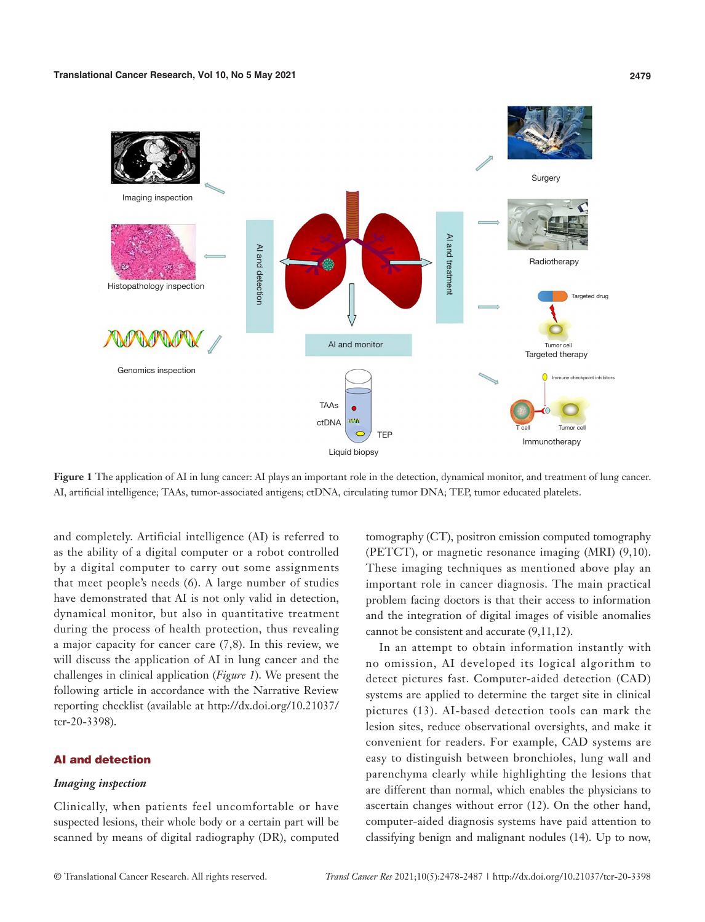

**Figure 1** The application of AI in lung cancer: AI plays an important role in the detection, dynamical monitor, and treatment of lung cancer. AI, artificial intelligence; TAAs, tumor-associated antigens; ctDNA, circulating tumor DNA; TEP, tumor educated platelets.

and completely. Artificial intelligence (AI) is referred to as the ability of a digital computer or a robot controlled by a digital computer to carry out some assignments that meet people's needs (6). A large number of studies have demonstrated that AI is not only valid in detection, dynamical monitor, but also in quantitative treatment during the process of health protection, thus revealing a major capacity for cancer care (7,8). In this review, we will discuss the application of AI in lung cancer and the challenges in clinical application (*Figure 1*). We present the following article in accordance with the Narrative Review reporting checklist (available at [http://dx.doi.org/10.21037/](http://dx.doi.org/10.21037/tcr-20-3398) [tcr-20-3398](http://dx.doi.org/10.21037/tcr-20-3398)).

# AI and detection

# *Imaging inspection*

Clinically, when patients feel uncomfortable or have suspected lesions, their whole body or a certain part will be scanned by means of digital radiography (DR), computed

tomography (CT), positron emission computed tomography (PETCT), or magnetic resonance imaging (MRI) (9,10). These imaging techniques as mentioned above play an important role in cancer diagnosis. The main practical problem facing doctors is that their access to information and the integration of digital images of visible anomalies cannot be consistent and accurate (9,11,12).

In an attempt to obtain information instantly with no omission, AI developed its logical algorithm to detect pictures fast. Computer-aided detection (CAD) systems are applied to determine the target site in clinical pictures (13). AI-based detection tools can mark the lesion sites, reduce observational oversights, and make it convenient for readers. For example, CAD systems are easy to distinguish between bronchioles, lung wall and parenchyma clearly while highlighting the lesions that are different than normal, which enables the physicians to ascertain changes without error (12). On the other hand, computer-aided diagnosis systems have paid attention to classifying benign and malignant nodules (14). Up to now,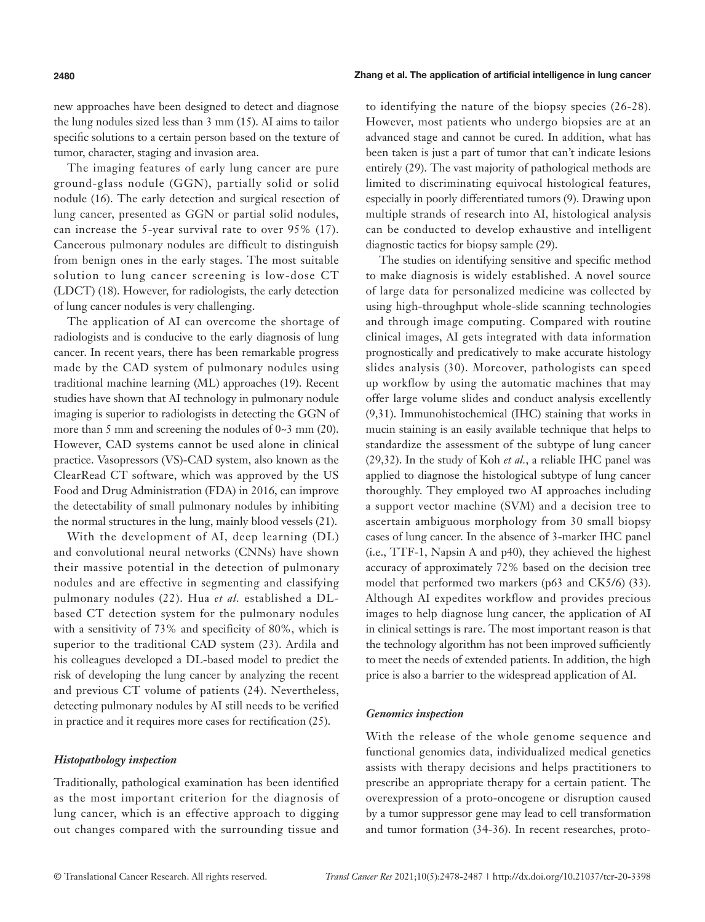**2480** Zhang et al. The application of artificial intelligence in lung cancer

new approaches have been designed to detect and diagnose the lung nodules sized less than 3 mm (15). AI aims to tailor specific solutions to a certain person based on the texture of tumor, character, staging and invasion area.

The imaging features of early lung cancer are pure ground-glass nodule (GGN), partially solid or solid nodule (16). The early detection and surgical resection of lung cancer, presented as GGN or partial solid nodules, can increase the 5-year survival rate to over 95% (17). Cancerous pulmonary nodules are difficult to distinguish from benign ones in the early stages. The most suitable solution to lung cancer screening is low-dose CT (LDCT) (18). However, for radiologists, the early detection of lung cancer nodules is very challenging.

The application of AI can overcome the shortage of radiologists and is conducive to the early diagnosis of lung cancer. In recent years, there has been remarkable progress made by the CAD system of pulmonary nodules using traditional machine learning (ML) approaches (19). Recent studies have shown that AI technology in pulmonary nodule imaging is superior to radiologists in detecting the GGN of more than 5 mm and screening the nodules of 0~3 mm (20). However, CAD systems cannot be used alone in clinical practice. Vasopressors (VS)-CAD system, also known as the ClearRead CT software, which was approved by the US Food and Drug Administration (FDA) in 2016, can improve the detectability of small pulmonary nodules by inhibiting the normal structures in the lung, mainly blood vessels (21).

With the development of AI, deep learning (DL) and convolutional neural networks (CNNs) have shown their massive potential in the detection of pulmonary nodules and are effective in segmenting and classifying pulmonary nodules (22). Hua *et al.* established a DLbased CT detection system for the pulmonary nodules with a sensitivity of 73% and specificity of 80%, which is superior to the traditional CAD system (23). Ardila and his colleagues developed a DL-based model to predict the risk of developing the lung cancer by analyzing the recent and previous CT volume of patients (24). Nevertheless, detecting pulmonary nodules by AI still needs to be verified in practice and it requires more cases for rectification (25).

# *Histopathology inspection*

Traditionally, pathological examination has been identified as the most important criterion for the diagnosis of lung cancer, which is an effective approach to digging out changes compared with the surrounding tissue and

to identifying the nature of the biopsy species (26-28). However, most patients who undergo biopsies are at an advanced stage and cannot be cured. In addition, what has been taken is just a part of tumor that can't indicate lesions entirely (29). The vast majority of pathological methods are limited to discriminating equivocal histological features, especially in poorly differentiated tumors (9). Drawing upon multiple strands of research into AI, histological analysis can be conducted to develop exhaustive and intelligent diagnostic tactics for biopsy sample (29).

The studies on identifying sensitive and specific method to make diagnosis is widely established. A novel source of large data for personalized medicine was collected by using high-throughput whole-slide scanning technologies and through image computing. Compared with routine clinical images, AI gets integrated with data information prognostically and predicatively to make accurate histology slides analysis (30). Moreover, pathologists can speed up workflow by using the automatic machines that may offer large volume slides and conduct analysis excellently (9,31). Immunohistochemical (IHC) staining that works in mucin staining is an easily available technique that helps to standardize the assessment of the subtype of lung cancer (29,32). In the study of Koh *et al.*, a reliable IHC panel was applied to diagnose the histological subtype of lung cancer thoroughly. They employed two AI approaches including a support vector machine (SVM) and a decision tree to ascertain ambiguous morphology from 30 small biopsy cases of lung cancer. In the absence of 3-marker IHC panel (i.e., TTF-1, Napsin A and p40), they achieved the highest accuracy of approximately 72% based on the decision tree model that performed two markers (p63 and CK5/6) (33). Although AI expedites workflow and provides precious images to help diagnose lung cancer, the application of AI in clinical settings is rare. The most important reason is that the technology algorithm has not been improved sufficiently to meet the needs of extended patients. In addition, the high price is also a barrier to the widespread application of AI.

# *Genomics inspection*

With the release of the whole genome sequence and functional genomics data, individualized medical genetics assists with therapy decisions and helps practitioners to prescribe an appropriate therapy for a certain patient. The overexpression of a proto-oncogene or disruption caused by a tumor suppressor gene may lead to cell transformation and tumor formation (34-36). In recent researches, proto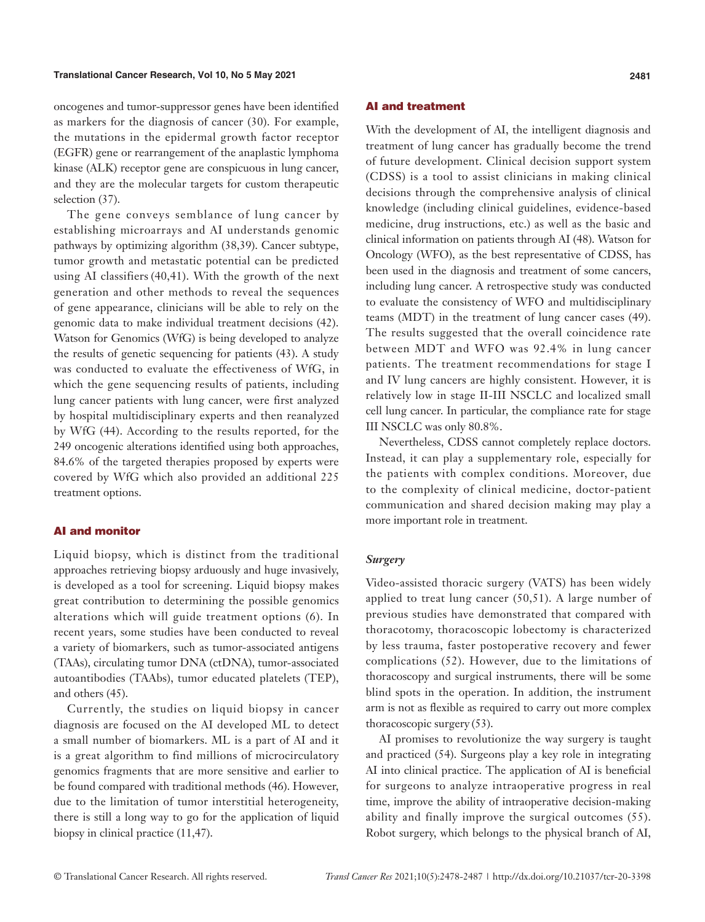oncogenes and tumor-suppressor genes have been identified as markers for the diagnosis of cancer (30). For example, the mutations in the epidermal growth factor receptor (EGFR) gene or rearrangement of the anaplastic lymphoma kinase (ALK) receptor gene are conspicuous in lung cancer, and they are the molecular targets for custom therapeutic selection (37).

The gene conveys semblance of lung cancer by establishing microarrays and AI understands genomic pathways by optimizing algorithm (38,39). Cancer subtype, tumor growth and metastatic potential can be predicted using AI classifiers (40,41). With the growth of the next generation and other methods to reveal the sequences of gene appearance, clinicians will be able to rely on the genomic data to make individual treatment decisions (42). Watson for Genomics (WfG) is being developed to analyze the results of genetic sequencing for patients (43). A study was conducted to evaluate the effectiveness of WfG, in which the gene sequencing results of patients, including lung cancer patients with lung cancer, were first analyzed by hospital multidisciplinary experts and then reanalyzed by WfG (44). According to the results reported, for the 249 oncogenic alterations identified using both approaches, 84.6% of the targeted therapies proposed by experts were covered by WfG which also provided an additional 225 treatment options.

# AI and monitor

Liquid biopsy, which is distinct from the traditional approaches retrieving biopsy arduously and huge invasively, is developed as a tool for screening. Liquid biopsy makes great contribution to determining the possible genomics alterations which will guide treatment options (6). In recent years, some studies have been conducted to reveal a variety of biomarkers, such as tumor-associated antigens (TAAs), circulating tumor DNA (ctDNA), tumor-associated autoantibodies (TAAbs), tumor educated platelets (TEP), and others (45).

Currently, the studies on liquid biopsy in cancer diagnosis are focused on the AI developed ML to detect a small number of biomarkers. ML is a part of AI and it is a great algorithm to find millions of microcirculatory genomics fragments that are more sensitive and earlier to be found compared with traditional methods (46). However, due to the limitation of tumor interstitial heterogeneity, there is still a long way to go for the application of liquid biopsy in clinical practice (11,47).

# AI and treatment

With the development of AI, the intelligent diagnosis and treatment of lung cancer has gradually become the trend of future development. Clinical decision support system (CDSS) is a tool to assist clinicians in making clinical decisions through the comprehensive analysis of clinical knowledge (including clinical guidelines, evidence-based medicine, drug instructions, etc.) as well as the basic and clinical information on patients through AI (48). Watson for Oncology (WFO), as the best representative of CDSS, has been used in the diagnosis and treatment of some cancers, including lung cancer. A retrospective study was conducted to evaluate the consistency of WFO and multidisciplinary teams (MDT) in the treatment of lung cancer cases (49). The results suggested that the overall coincidence rate between MDT and WFO was 92.4% in lung cancer patients. The treatment recommendations for stage I and IV lung cancers are highly consistent. However, it is relatively low in stage II-III NSCLC and localized small cell lung cancer. In particular, the compliance rate for stage III NSCLC was only 80.8%.

Nevertheless, CDSS cannot completely replace doctors. Instead, it can play a supplementary role, especially for the patients with complex conditions. Moreover, due to the complexity of clinical medicine, doctor-patient communication and shared decision making may play a more important role in treatment.

# *Surgery*

Video-assisted thoracic surgery (VATS) has been widely applied to treat lung cancer (50,51). A large number of previous studies have demonstrated that compared with thoracotomy, thoracoscopic lobectomy is characterized by less trauma, faster postoperative recovery and fewer complications (52). However, due to the limitations of thoracoscopy and surgical instruments, there will be some blind spots in the operation. In addition, the instrument arm is not as flexible as required to carry out more complex thoracoscopic surgery (53).

AI promises to revolutionize the way surgery is taught and practiced (54). Surgeons play a key role in integrating AI into clinical practice. The application of AI is beneficial for surgeons to analyze intraoperative progress in real time, improve the ability of intraoperative decision-making ability and finally improve the surgical outcomes (55). Robot surgery, which belongs to the physical branch of AI,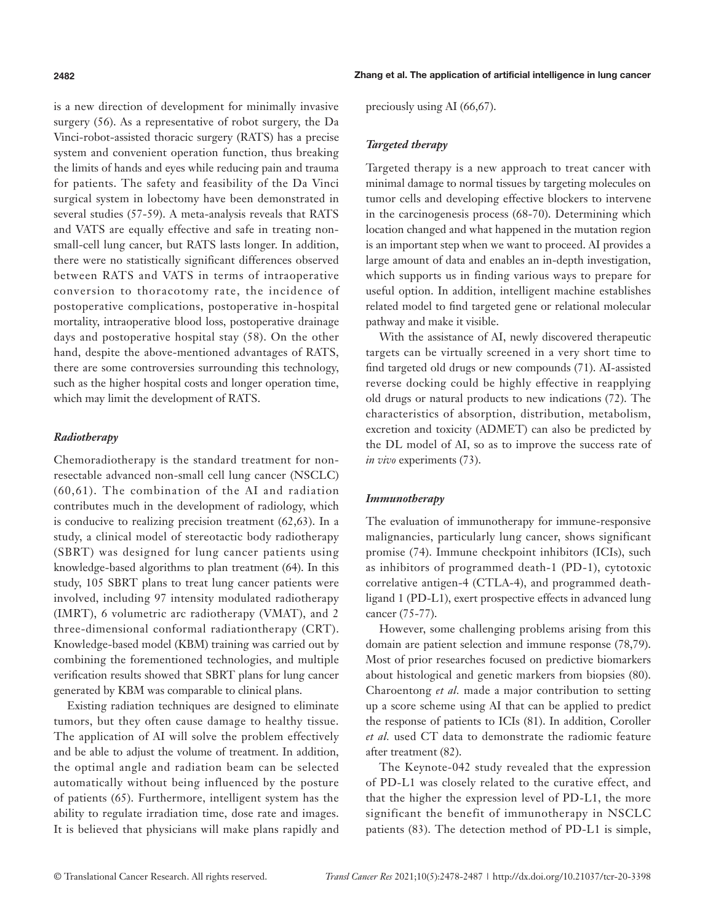is a new direction of development for minimally invasive surgery (56). As a representative of robot surgery, the Da Vinci-robot-assisted thoracic surgery (RATS) has a precise system and convenient operation function, thus breaking the limits of hands and eyes while reducing pain and trauma for patients. The safety and feasibility of the Da Vinci surgical system in lobectomy have been demonstrated in several studies (57-59). A meta-analysis reveals that RATS and VATS are equally effective and safe in treating nonsmall-cell lung cancer, but RATS lasts longer. In addition, there were no statistically significant differences observed between RATS and VATS in terms of intraoperative conversion to thoracotomy rate, the incidence of postoperative complications, postoperative in-hospital mortality, intraoperative blood loss, postoperative drainage days and postoperative hospital stay (58). On the other hand, despite the above-mentioned advantages of RATS, there are some controversies surrounding this technology, such as the higher hospital costs and longer operation time, which may limit the development of RATS.

# *Radiotherapy*

Chemoradiotherapy is the standard treatment for nonresectable advanced non-small cell lung cancer (NSCLC) (60,61). The combination of the AI and radiation contributes much in the development of radiology, which is conducive to realizing precision treatment (62,63). In a study, a clinical model of stereotactic body radiotherapy (SBRT) was designed for lung cancer patients using knowledge-based algorithms to plan treatment (64). In this study, 105 SBRT plans to treat lung cancer patients were involved, including 97 intensity modulated radiotherapy (IMRT), 6 volumetric arc radiotherapy (VMAT), and 2 three-dimensional conformal radiationtherapy (CRT). Knowledge-based model (KBM) training was carried out by combining the forementioned technologies, and multiple verification results showed that SBRT plans for lung cancer generated by KBM was comparable to clinical plans.

Existing radiation techniques are designed to eliminate tumors, but they often cause damage to healthy tissue. The application of AI will solve the problem effectively and be able to adjust the volume of treatment. In addition, the optimal angle and radiation beam can be selected automatically without being influenced by the posture of patients (65). Furthermore, intelligent system has the ability to regulate irradiation time, dose rate and images. It is believed that physicians will make plans rapidly and

preciously using AI (66,67).

# *Targeted therapy*

Targeted therapy is a new approach to treat cancer with minimal damage to normal tissues by targeting molecules on tumor cells and developing effective blockers to intervene in the carcinogenesis process (68-70). Determining which location changed and what happened in the mutation region is an important step when we want to proceed. AI provides a large amount of data and enables an in-depth investigation, which supports us in finding various ways to prepare for useful option. In addition, intelligent machine establishes related model to find targeted gene or relational molecular pathway and make it visible.

With the assistance of AI, newly discovered therapeutic targets can be virtually screened in a very short time to find targeted old drugs or new compounds (71). AI-assisted reverse docking could be highly effective in reapplying old drugs or natural products to new indications (72). The characteristics of absorption, distribution, metabolism, excretion and toxicity (ADMET) can also be predicted by the DL model of AI, so as to improve the success rate of *in vivo* experiments (73).

#### *Immunotherapy*

The evaluation of immunotherapy for immune-responsive malignancies, particularly lung cancer, shows significant promise (74). Immune checkpoint inhibitors (ICIs), such as inhibitors of programmed death-1 (PD-1), cytotoxic correlative antigen-4 (CTLA-4), and programmed deathligand 1 (PD-L1), exert prospective effects in advanced lung cancer (75-77).

However, some challenging problems arising from this domain are patient selection and immune response (78,79). Most of prior researches focused on predictive biomarkers about histological and genetic markers from biopsies (80). Charoentong *et al.* made a major contribution to setting up a score scheme using AI that can be applied to predict the response of patients to ICIs (81). In addition, Coroller *et al.* used CT data to demonstrate the radiomic feature after treatment (82).

The Keynote-042 study revealed that the expression of PD-L1 was closely related to the curative effect, and that the higher the expression level of PD-L1, the more significant the benefit of immunotherapy in NSCLC patients (83). The detection method of PD-L1 is simple,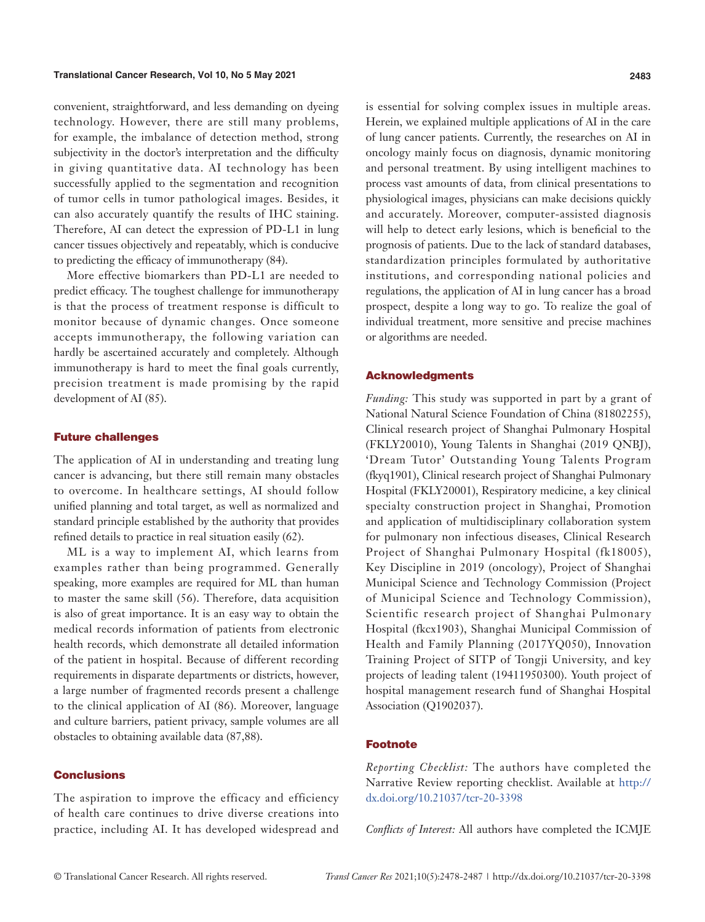#### **Translational Cancer Research, Vol 10, No 5 May 2021 2483**

convenient, straightforward, and less demanding on dyeing technology. However, there are still many problems, for example, the imbalance of detection method, strong subjectivity in the doctor's interpretation and the difficulty in giving quantitative data. AI technology has been successfully applied to the segmentation and recognition of tumor cells in tumor pathological images. Besides, it can also accurately quantify the results of IHC staining. Therefore, AI can detect the expression of PD-L1 in lung cancer tissues objectively and repeatably, which is conducive to predicting the efficacy of immunotherapy (84).

More effective biomarkers than PD-L1 are needed to predict efficacy. The toughest challenge for immunotherapy is that the process of treatment response is difficult to monitor because of dynamic changes. Once someone accepts immunotherapy, the following variation can hardly be ascertained accurately and completely. Although immunotherapy is hard to meet the final goals currently, precision treatment is made promising by the rapid development of AI (85).

#### Future challenges

The application of AI in understanding and treating lung cancer is advancing, but there still remain many obstacles to overcome. In healthcare settings, AI should follow unified planning and total target, as well as normalized and standard principle established by the authority that provides refined details to practice in real situation easily (62).

ML is a way to implement AI, which learns from examples rather than being programmed. Generally speaking, more examples are required for ML than human to master the same skill (56). Therefore, data acquisition is also of great importance. It is an easy way to obtain the medical records information of patients from electronic health records, which demonstrate all detailed information of the patient in hospital. Because of different recording requirements in disparate departments or districts, however, a large number of fragmented records present a challenge to the clinical application of AI (86). Moreover, language and culture barriers, patient privacy, sample volumes are all obstacles to obtaining available data (87,88).

#### **Conclusions**

The aspiration to improve the efficacy and efficiency of health care continues to drive diverse creations into practice, including AI. It has developed widespread and

is essential for solving complex issues in multiple areas. Herein, we explained multiple applications of AI in the care of lung cancer patients. Currently, the researches on AI in oncology mainly focus on diagnosis, dynamic monitoring and personal treatment. By using intelligent machines to process vast amounts of data, from clinical presentations to physiological images, physicians can make decisions quickly and accurately. Moreover, computer-assisted diagnosis will help to detect early lesions, which is beneficial to the prognosis of patients. Due to the lack of standard databases, standardization principles formulated by authoritative institutions, and corresponding national policies and regulations, the application of AI in lung cancer has a broad prospect, despite a long way to go. To realize the goal of individual treatment, more sensitive and precise machines or algorithms are needed.

### Acknowledgments

*Funding:* This study was supported in part by a grant of National Natural Science Foundation of China (81802255), Clinical research project of Shanghai Pulmonary Hospital (FKLY20010), Young Talents in Shanghai (2019 QNBJ), 'Dream Tutor' Outstanding Young Talents Program (fkyq1901), Clinical research project of Shanghai Pulmonary Hospital (FKLY20001), Respiratory medicine, a key clinical specialty construction project in Shanghai, Promotion and application of multidisciplinary collaboration system for pulmonary non infectious diseases, Clinical Research Project of Shanghai Pulmonary Hospital (fk18005), Key Discipline in 2019 (oncology), Project of Shanghai Municipal Science and Technology Commission (Project of Municipal Science and Technology Commission), Scientific research project of Shanghai Pulmonary Hospital (fkcx1903), Shanghai Municipal Commission of Health and Family Planning (2017YQ050), Innovation Training Project of SITP of Tongji University, and key projects of leading talent (19411950300). Youth project of hospital management research fund of Shanghai Hospital Association (Q1902037).

#### Footnote

*Reporting Checklist:* The authors have completed the Narrative Review reporting checklist. Available at [http://](http://dx.doi.org/10.21037/tcr-20-3398) [dx.doi.org/10.21037/tcr-20-3398](http://dx.doi.org/10.21037/tcr-20-3398)

*Conflicts of Interest:* All authors have completed the ICMJE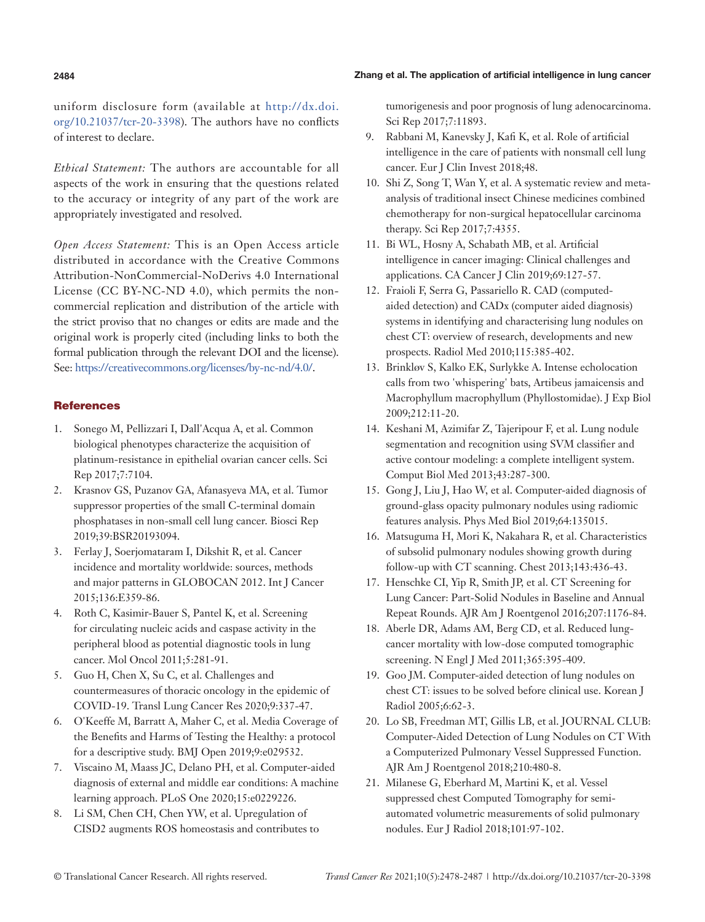#### **2484** Zhang et al. The application of artificial intelligence in lung cancer

uniform disclosure form (available at http://dx.doi. org/10.21037/tcr-20-3398). The authors have no conflicts of interest to declare.

*Ethical Statement:* The authors are accountable for all aspects of the work in ensuring that the questions related to the accuracy or integrity of any part of the work are appropriately investigated and resolved.

*Open Access Statement:* This is an Open Access article distributed in accordance with the Creative Commons Attribution-NonCommercial-NoDerivs 4.0 International License (CC BY-NC-ND 4.0), which permits the noncommercial replication and distribution of the article with the strict proviso that no changes or edits are made and the original work is properly cited (including links to both the formal publication through the relevant DOI and the license). See: [https://creativecommons.org/licenses/by-nc-nd/4.0/.](https://creativecommons.org/licenses/by-nc-nd/4.0/)

# **References**

- 1. Sonego M, Pellizzari I, Dall'Acqua A, et al. Common biological phenotypes characterize the acquisition of platinum-resistance in epithelial ovarian cancer cells. Sci Rep 2017;7:7104.
- 2. Krasnov GS, Puzanov GA, Afanasyeva MA, et al. Tumor suppressor properties of the small C-terminal domain phosphatases in non-small cell lung cancer. Biosci Rep 2019;39:BSR20193094.
- 3. Ferlay J, Soerjomataram I, Dikshit R, et al. Cancer incidence and mortality worldwide: sources, methods and major patterns in GLOBOCAN 2012. Int J Cancer 2015;136:E359-86.
- 4. Roth C, Kasimir-Bauer S, Pantel K, et al. Screening for circulating nucleic acids and caspase activity in the peripheral blood as potential diagnostic tools in lung cancer. Mol Oncol 2011;5:281-91.
- 5. Guo H, Chen X, Su C, et al. Challenges and countermeasures of thoracic oncology in the epidemic of COVID-19. Transl Lung Cancer Res 2020;9:337-47.
- 6. O'Keeffe M, Barratt A, Maher C, et al. Media Coverage of the Benefits and Harms of Testing the Healthy: a protocol for a descriptive study. BMJ Open 2019;9:e029532.
- 7. Viscaino M, Maass JC, Delano PH, et al. Computer-aided diagnosis of external and middle ear conditions: A machine learning approach. PLoS One 2020;15:e0229226.
- 8. Li SM, Chen CH, Chen YW, et al. Upregulation of CISD2 augments ROS homeostasis and contributes to

tumorigenesis and poor prognosis of lung adenocarcinoma. Sci Rep 2017;7:11893.

- 9. Rabbani M, Kanevsky J, Kafi K, et al. Role of artificial intelligence in the care of patients with nonsmall cell lung cancer. Eur J Clin Invest 2018;48.
- 10. Shi Z, Song T, Wan Y, et al. A systematic review and metaanalysis of traditional insect Chinese medicines combined chemotherapy for non-surgical hepatocellular carcinoma therapy. Sci Rep 2017;7:4355.
- 11. Bi WL, Hosny A, Schabath MB, et al. Artificial intelligence in cancer imaging: Clinical challenges and applications. CA Cancer J Clin 2019;69:127-57.
- 12. Fraioli F, Serra G, Passariello R. CAD (computedaided detection) and CADx (computer aided diagnosis) systems in identifying and characterising lung nodules on chest CT: overview of research, developments and new prospects. Radiol Med 2010;115:385-402.
- 13. Brinkløv S, Kalko EK, Surlykke A. Intense echolocation calls from two 'whispering' bats, Artibeus jamaicensis and Macrophyllum macrophyllum (Phyllostomidae). J Exp Biol 2009;212:11-20.
- 14. Keshani M, Azimifar Z, Tajeripour F, et al. Lung nodule segmentation and recognition using SVM classifier and active contour modeling: a complete intelligent system. Comput Biol Med 2013;43:287-300.
- 15. Gong J, Liu J, Hao W, et al. Computer-aided diagnosis of ground-glass opacity pulmonary nodules using radiomic features analysis. Phys Med Biol 2019;64:135015.
- 16. Matsuguma H, Mori K, Nakahara R, et al. Characteristics of subsolid pulmonary nodules showing growth during follow-up with CT scanning. Chest 2013;143:436-43.
- 17. Henschke CI, Yip R, Smith JP, et al. CT Screening for Lung Cancer: Part-Solid Nodules in Baseline and Annual Repeat Rounds. AJR Am J Roentgenol 2016;207:1176-84.
- 18. Aberle DR, Adams AM, Berg CD, et al. Reduced lungcancer mortality with low-dose computed tomographic screening. N Engl J Med 2011;365:395-409.
- 19. Goo JM. Computer-aided detection of lung nodules on chest CT: issues to be solved before clinical use. Korean J Radiol 2005;6:62-3.
- 20. Lo SB, Freedman MT, Gillis LB, et al. JOURNAL CLUB: Computer-Aided Detection of Lung Nodules on CT With a Computerized Pulmonary Vessel Suppressed Function. AJR Am J Roentgenol 2018;210:480-8.
- 21. Milanese G, Eberhard M, Martini K, et al. Vessel suppressed chest Computed Tomography for semiautomated volumetric measurements of solid pulmonary nodules. Eur J Radiol 2018;101:97-102.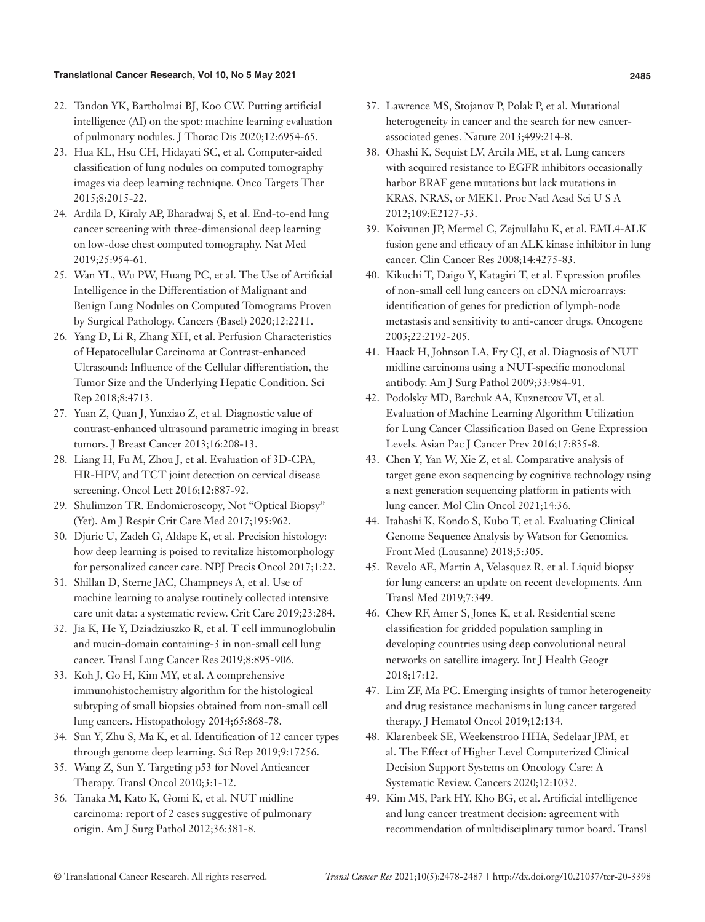#### **Translational Cancer Research, Vol 10, No 5 May 2021 2485**

- 22. Tandon YK, Bartholmai BJ, Koo CW. Putting artificial intelligence (AI) on the spot: machine learning evaluation of pulmonary nodules. J Thorac Dis 2020;12:6954-65.
- 23. Hua KL, Hsu CH, Hidayati SC, et al. Computer-aided classification of lung nodules on computed tomography images via deep learning technique. Onco Targets Ther 2015;8:2015-22.
- 24. Ardila D, Kiraly AP, Bharadwaj S, et al. End-to-end lung cancer screening with three-dimensional deep learning on low-dose chest computed tomography. Nat Med 2019;25:954-61.
- 25. Wan YL, Wu PW, Huang PC, et al. The Use of Artificial Intelligence in the Differentiation of Malignant and Benign Lung Nodules on Computed Tomograms Proven by Surgical Pathology. Cancers (Basel) 2020;12:2211.
- 26. Yang D, Li R, Zhang XH, et al. Perfusion Characteristics of Hepatocellular Carcinoma at Contrast-enhanced Ultrasound: Influence of the Cellular differentiation, the Tumor Size and the Underlying Hepatic Condition. Sci Rep 2018;8:4713.
- 27. Yuan Z, Quan J, Yunxiao Z, et al. Diagnostic value of contrast-enhanced ultrasound parametric imaging in breast tumors. J Breast Cancer 2013;16:208-13.
- 28. Liang H, Fu M, Zhou J, et al. Evaluation of 3D-CPA, HR-HPV, and TCT joint detection on cervical disease screening. Oncol Lett 2016;12:887-92.
- 29. Shulimzon TR. Endomicroscopy, Not "Optical Biopsy" (Yet). Am J Respir Crit Care Med 2017;195:962.
- 30. Djuric U, Zadeh G, Aldape K, et al. Precision histology: how deep learning is poised to revitalize histomorphology for personalized cancer care. NPJ Precis Oncol 2017;1:22.
- 31. Shillan D, Sterne JAC, Champneys A, et al. Use of machine learning to analyse routinely collected intensive care unit data: a systematic review. Crit Care 2019;23:284.
- 32. Jia K, He Y, Dziadziuszko R, et al. T cell immunoglobulin and mucin-domain containing-3 in non-small cell lung cancer. Transl Lung Cancer Res 2019;8:895-906.
- 33. Koh J, Go H, Kim MY, et al. A comprehensive immunohistochemistry algorithm for the histological subtyping of small biopsies obtained from non-small cell lung cancers. Histopathology 2014;65:868-78.
- 34. Sun Y, Zhu S, Ma K, et al. Identification of 12 cancer types through genome deep learning. Sci Rep 2019;9:17256.
- 35. Wang Z, Sun Y. Targeting p53 for Novel Anticancer Therapy. Transl Oncol 2010;3:1-12.
- 36. Tanaka M, Kato K, Gomi K, et al. NUT midline carcinoma: report of 2 cases suggestive of pulmonary origin. Am J Surg Pathol 2012;36:381-8.
- 37. Lawrence MS, Stojanov P, Polak P, et al. Mutational heterogeneity in cancer and the search for new cancerassociated genes. Nature 2013;499:214-8.
- 38. Ohashi K, Sequist LV, Arcila ME, et al. Lung cancers with acquired resistance to EGFR inhibitors occasionally harbor BRAF gene mutations but lack mutations in KRAS, NRAS, or MEK1. Proc Natl Acad Sci U S A 2012;109:E2127-33.
- 39. Koivunen JP, Mermel C, Zejnullahu K, et al. EML4-ALK fusion gene and efficacy of an ALK kinase inhibitor in lung cancer. Clin Cancer Res 2008;14:4275-83.
- 40. Kikuchi T, Daigo Y, Katagiri T, et al. Expression profiles of non-small cell lung cancers on cDNA microarrays: identification of genes for prediction of lymph-node metastasis and sensitivity to anti-cancer drugs. Oncogene 2003;22:2192-205.
- 41. Haack H, Johnson LA, Fry CJ, et al. Diagnosis of NUT midline carcinoma using a NUT-specific monoclonal antibody. Am J Surg Pathol 2009;33:984-91.
- 42. Podolsky MD, Barchuk AA, Kuznetcov VI, et al. Evaluation of Machine Learning Algorithm Utilization for Lung Cancer Classification Based on Gene Expression Levels. Asian Pac J Cancer Prev 2016;17:835-8.
- 43. Chen Y, Yan W, Xie Z, et al. Comparative analysis of target gene exon sequencing by cognitive technology using a next generation sequencing platform in patients with lung cancer. Mol Clin Oncol 2021;14:36.
- 44. Itahashi K, Kondo S, Kubo T, et al. Evaluating Clinical Genome Sequence Analysis by Watson for Genomics. Front Med (Lausanne) 2018;5:305.
- 45. Revelo AE, Martin A, Velasquez R, et al. Liquid biopsy for lung cancers: an update on recent developments. Ann Transl Med 2019;7:349.
- 46. Chew RF, Amer S, Jones K, et al. Residential scene classification for gridded population sampling in developing countries using deep convolutional neural networks on satellite imagery. Int J Health Geogr 2018;17:12.
- 47. Lim ZF, Ma PC. Emerging insights of tumor heterogeneity and drug resistance mechanisms in lung cancer targeted therapy. J Hematol Oncol 2019;12:134.
- 48. Klarenbeek SE, Weekenstroo HHA, Sedelaar JPM, et al. The Effect of Higher Level Computerized Clinical Decision Support Systems on Oncology Care: A Systematic Review. Cancers 2020;12:1032.
- 49. Kim MS, Park HY, Kho BG, et al. Artificial intelligence and lung cancer treatment decision: agreement with recommendation of multidisciplinary tumor board. Transl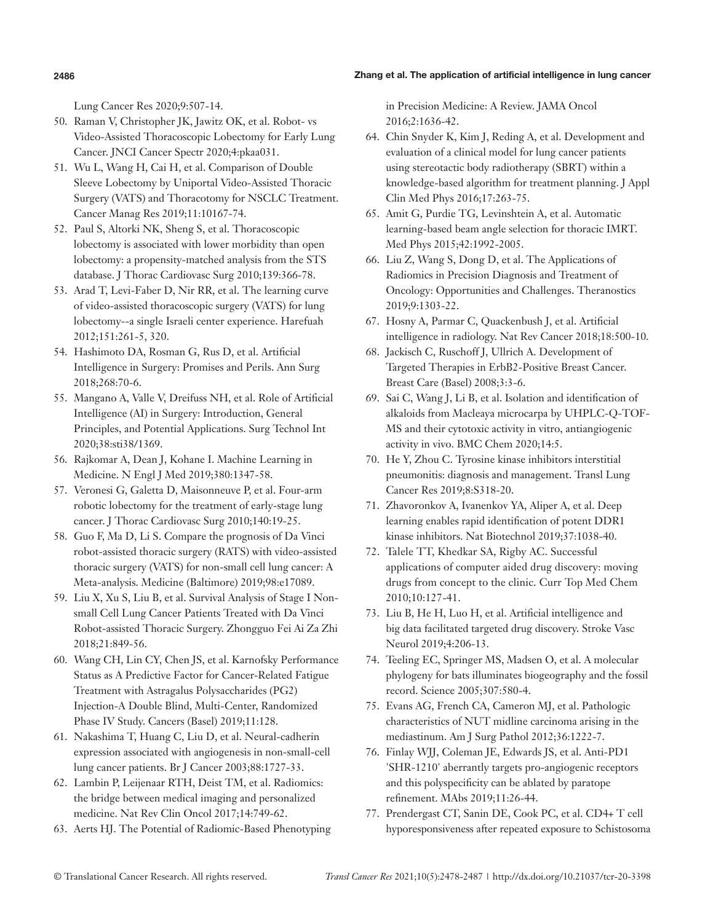# **2486** Zhang et al. The application of artificial intelligence in lung cancer

Lung Cancer Res 2020;9:507-14.

- 50. Raman V, Christopher JK, Jawitz OK, et al. Robot- vs Video-Assisted Thoracoscopic Lobectomy for Early Lung Cancer. JNCI Cancer Spectr 2020;4:pkaa031.
- 51. Wu L, Wang H, Cai H, et al. Comparison of Double Sleeve Lobectomy by Uniportal Video-Assisted Thoracic Surgery (VATS) and Thoracotomy for NSCLC Treatment. Cancer Manag Res 2019;11:10167-74.
- 52. Paul S, Altorki NK, Sheng S, et al. Thoracoscopic lobectomy is associated with lower morbidity than open lobectomy: a propensity-matched analysis from the STS database. J Thorac Cardiovasc Surg 2010;139:366-78.
- 53. Arad T, Levi-Faber D, Nir RR, et al. The learning curve of video-assisted thoracoscopic surgery (VATS) for lung lobectomy--a single Israeli center experience. Harefuah 2012;151:261-5, 320.
- 54. Hashimoto DA, Rosman G, Rus D, et al. Artificial Intelligence in Surgery: Promises and Perils. Ann Surg 2018;268:70-6.
- 55. Mangano A, Valle V, Dreifuss NH, et al. Role of Artificial Intelligence (AI) in Surgery: Introduction, General Principles, and Potential Applications. Surg Technol Int 2020;38:sti38/1369.
- 56. Rajkomar A, Dean J, Kohane I. Machine Learning in Medicine. N Engl J Med 2019;380:1347-58.
- 57. Veronesi G, Galetta D, Maisonneuve P, et al. Four-arm robotic lobectomy for the treatment of early-stage lung cancer. J Thorac Cardiovasc Surg 2010;140:19-25.
- 58. Guo F, Ma D, Li S. Compare the prognosis of Da Vinci robot-assisted thoracic surgery (RATS) with video-assisted thoracic surgery (VATS) for non-small cell lung cancer: A Meta-analysis. Medicine (Baltimore) 2019;98:e17089.
- 59. Liu X, Xu S, Liu B, et al. Survival Analysis of Stage I Nonsmall Cell Lung Cancer Patients Treated with Da Vinci Robot-assisted Thoracic Surgery. Zhongguo Fei Ai Za Zhi 2018;21:849-56.
- 60. Wang CH, Lin CY, Chen JS, et al. Karnofsky Performance Status as A Predictive Factor for Cancer-Related Fatigue Treatment with Astragalus Polysaccharides (PG2) Injection-A Double Blind, Multi-Center, Randomized Phase IV Study. Cancers (Basel) 2019;11:128.
- 61. Nakashima T, Huang C, Liu D, et al. Neural-cadherin expression associated with angiogenesis in non-small-cell lung cancer patients. Br J Cancer 2003;88:1727-33.
- 62. Lambin P, Leijenaar RTH, Deist TM, et al. Radiomics: the bridge between medical imaging and personalized medicine. Nat Rev Clin Oncol 2017;14:749-62.
- 63. Aerts HJ. The Potential of Radiomic-Based Phenotyping

in Precision Medicine: A Review. JAMA Oncol 2016;2:1636-42.

- 64. Chin Snyder K, Kim J, Reding A, et al. Development and evaluation of a clinical model for lung cancer patients using stereotactic body radiotherapy (SBRT) within a knowledge-based algorithm for treatment planning. J Appl Clin Med Phys 2016;17:263-75.
- 65. Amit G, Purdie TG, Levinshtein A, et al. Automatic learning-based beam angle selection for thoracic IMRT. Med Phys 2015;42:1992-2005.
- 66. Liu Z, Wang S, Dong D, et al. The Applications of Radiomics in Precision Diagnosis and Treatment of Oncology: Opportunities and Challenges. Theranostics 2019;9:1303-22.
- 67. Hosny A, Parmar C, Quackenbush J, et al. Artificial intelligence in radiology. Nat Rev Cancer 2018;18:500-10.
- 68. Jackisch C, Ruschoff J, Ullrich A. Development of Targeted Therapies in ErbB2-Positive Breast Cancer. Breast Care (Basel) 2008;3:3-6.
- 69. Sai C, Wang J, Li B, et al. Isolation and identification of alkaloids from Macleaya microcarpa by UHPLC-Q-TOF-MS and their cytotoxic activity in vitro, antiangiogenic activity in vivo. BMC Chem 2020;14:5.
- 70. He Y, Zhou C. Tyrosine kinase inhibitors interstitial pneumonitis: diagnosis and management. Transl Lung Cancer Res 2019;8:S318-20.
- 71. Zhavoronkov A, Ivanenkov YA, Aliper A, et al. Deep learning enables rapid identification of potent DDR1 kinase inhibitors. Nat Biotechnol 2019;37:1038-40.
- 72. Talele TT, Khedkar SA, Rigby AC. Successful applications of computer aided drug discovery: moving drugs from concept to the clinic. Curr Top Med Chem 2010;10:127-41.
- 73. Liu B, He H, Luo H, et al. Artificial intelligence and big data facilitated targeted drug discovery. Stroke Vasc Neurol 2019;4:206-13.
- 74. Teeling EC, Springer MS, Madsen O, et al. A molecular phylogeny for bats illuminates biogeography and the fossil record. Science 2005;307:580-4.
- 75. Evans AG, French CA, Cameron MJ, et al. Pathologic characteristics of NUT midline carcinoma arising in the mediastinum. Am J Surg Pathol 2012;36:1222-7.
- 76. Finlay WJJ, Coleman JE, Edwards JS, et al. Anti-PD1 'SHR-1210' aberrantly targets pro-angiogenic receptors and this polyspecificity can be ablated by paratope refinement. MAbs 2019;11:26-44.
- 77. Prendergast CT, Sanin DE, Cook PC, et al. CD4+ T cell hyporesponsiveness after repeated exposure to Schistosoma